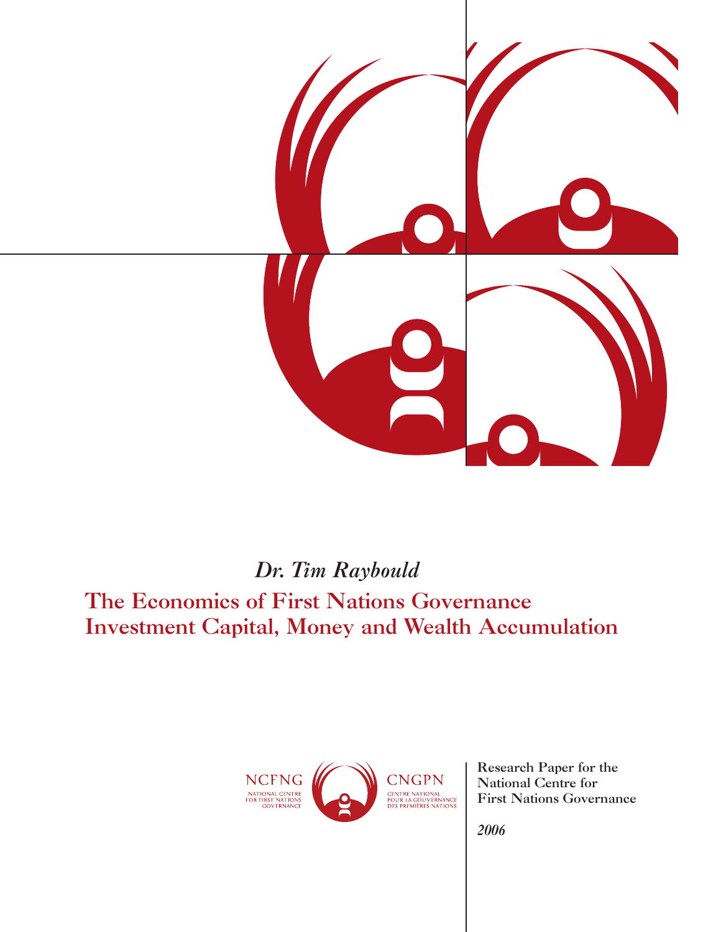

# *Dr. Tim Raybould*

# The Economics of First Nations Governance Investment Capital, Money and Wealth Accumulation



Research Paper for the National Centre for First Nations Governance

*2006*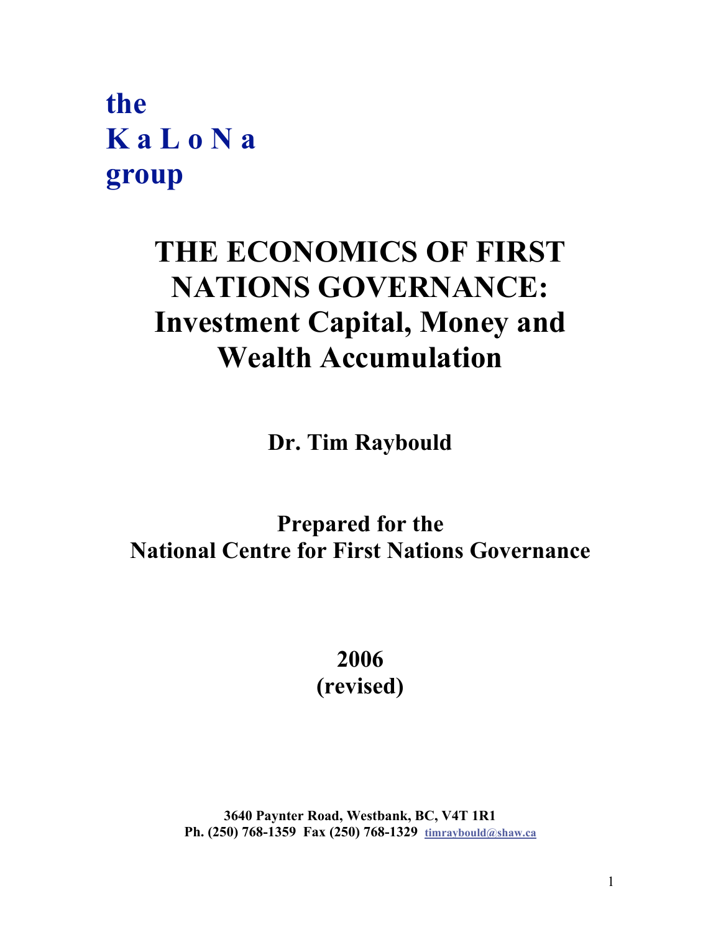**the K a L o N a group**

# **THE ECONOMICS OF FIRST NATIONS GOVERNANCE: Investment Capital, Money and Wealth Accumulation**

**Dr. Tim Raybould**

# **Prepared for the National Centre for First Nations Governance**

**2006 (revised)**

**3640 Paynter Road, Westbank, BC, V4T 1R1 Ph. (250) 768-1359 Fax (250) 768-1329 timraybould@shaw.ca**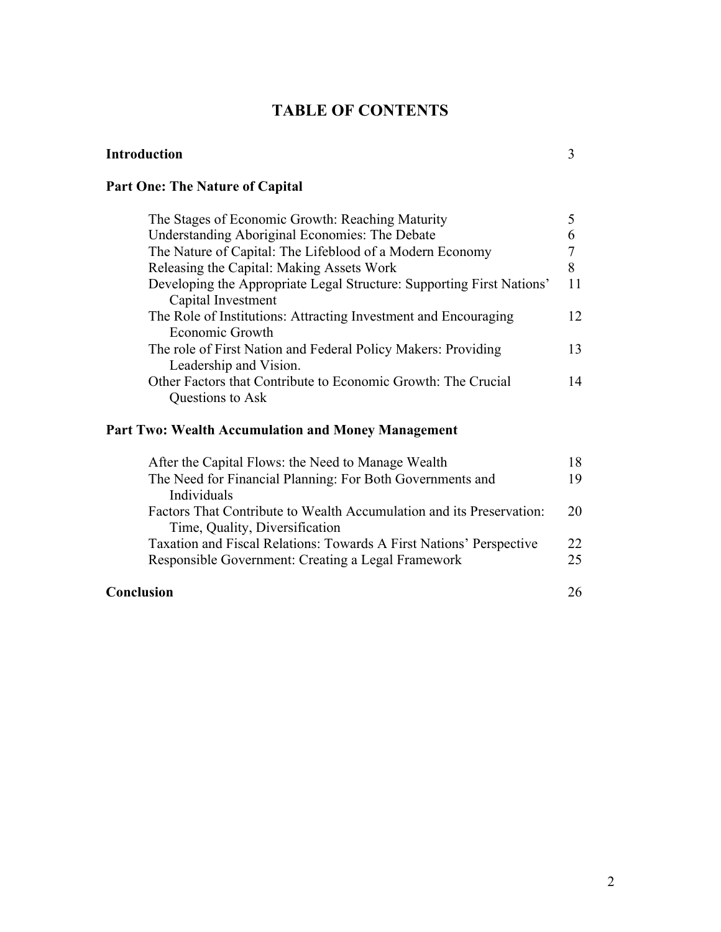# **TABLE OF CONTENTS**

| The Stages of Economic Growth: Reaching Maturity                                            |    |
|---------------------------------------------------------------------------------------------|----|
| Understanding Aboriginal Economies: The Debate                                              |    |
| The Nature of Capital: The Lifeblood of a Modern Economy                                    |    |
| Releasing the Capital: Making Assets Work                                                   | 8  |
| Developing the Appropriate Legal Structure: Supporting First Nations'<br>Capital Investment |    |
| The Role of Institutions: Attracting Investment and Encouraging<br>Economic Growth          | 12 |
| The role of First Nation and Federal Policy Makers: Providing                               | 13 |
| Leadership and Vision.                                                                      |    |
| Other Factors that Contribute to Economic Growth: The Crucial                               | 14 |
| Questions to Ask                                                                            |    |

# **Part Two: Wealth Accumulation and Money Management**

**Part One: The Nature of Capital**

| After the Capital Flows: the Need to Manage Wealth                   | 18  |
|----------------------------------------------------------------------|-----|
| The Need for Financial Planning: For Both Governments and            | 19  |
| Individuals                                                          |     |
| Factors That Contribute to Wealth Accumulation and its Preservation: | 20  |
| Time, Quality, Diversification                                       |     |
| Taxation and Fiscal Relations: Towards A First Nations' Perspective  | 22. |
| Responsible Government: Creating a Legal Framework                   | 25  |
| Conclusion                                                           |     |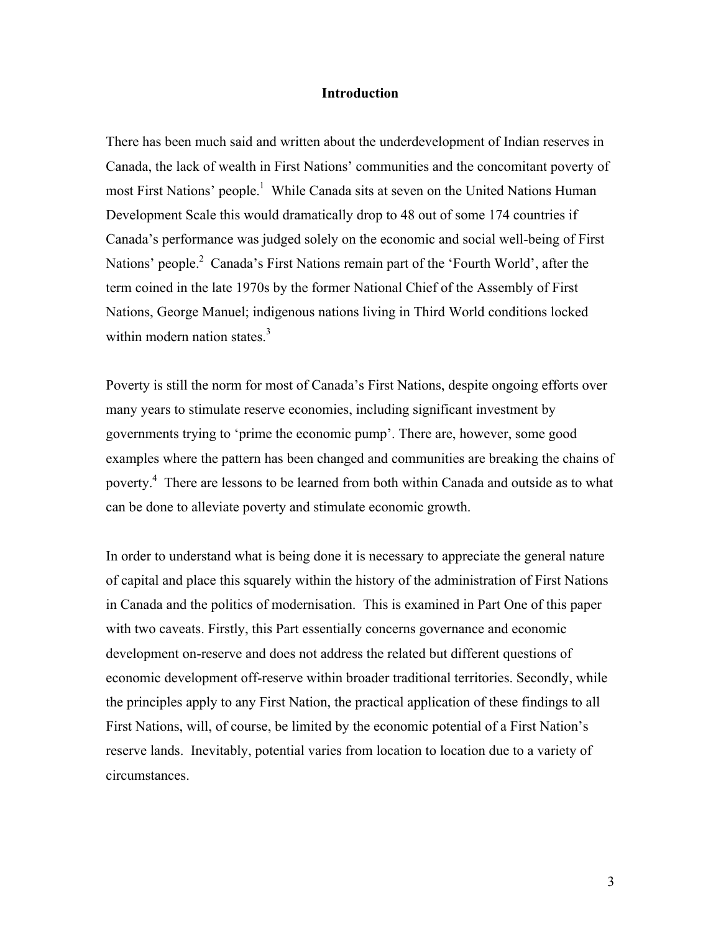#### **Introduction**

There has been much said and written about the underdevelopment of Indian reserves in Canada, the lack of wealth in First Nations' communities and the concomitant poverty of most First Nations' people.<sup>1</sup> While Canada sits at seven on the United Nations Human Development Scale this would dramatically drop to 48 out of some 174 countries if Canada's performance was judged solely on the economic and social well-being of First Nations' people.<sup>2</sup> Canada's First Nations remain part of the 'Fourth World', after the term coined in the late 1970s by the former National Chief of the Assembly of First Nations, George Manuel; indigenous nations living in Third World conditions locked within modern nation states.<sup>3</sup>

Poverty is still the norm for most of Canada's First Nations, despite ongoing efforts over many years to stimulate reserve economies, including significant investment by governments trying to 'prime the economic pump'. There are, however, some good examples where the pattern has been changed and communities are breaking the chains of poverty.<sup>4</sup> There are lessons to be learned from both within Canada and outside as to what can be done to alleviate poverty and stimulate economic growth.

In order to understand what is being done it is necessary to appreciate the general nature of capital and place this squarely within the history of the administration of First Nations in Canada and the politics of modernisation. This is examined in Part One of this paper with two caveats. Firstly, this Part essentially concerns governance and economic development on-reserve and does not address the related but different questions of economic development off-reserve within broader traditional territories. Secondly, while the principles apply to any First Nation, the practical application of these findings to all First Nations, will, of course, be limited by the economic potential of a First Nation's reserve lands. Inevitably, potential varies from location to location due to a variety of circumstances.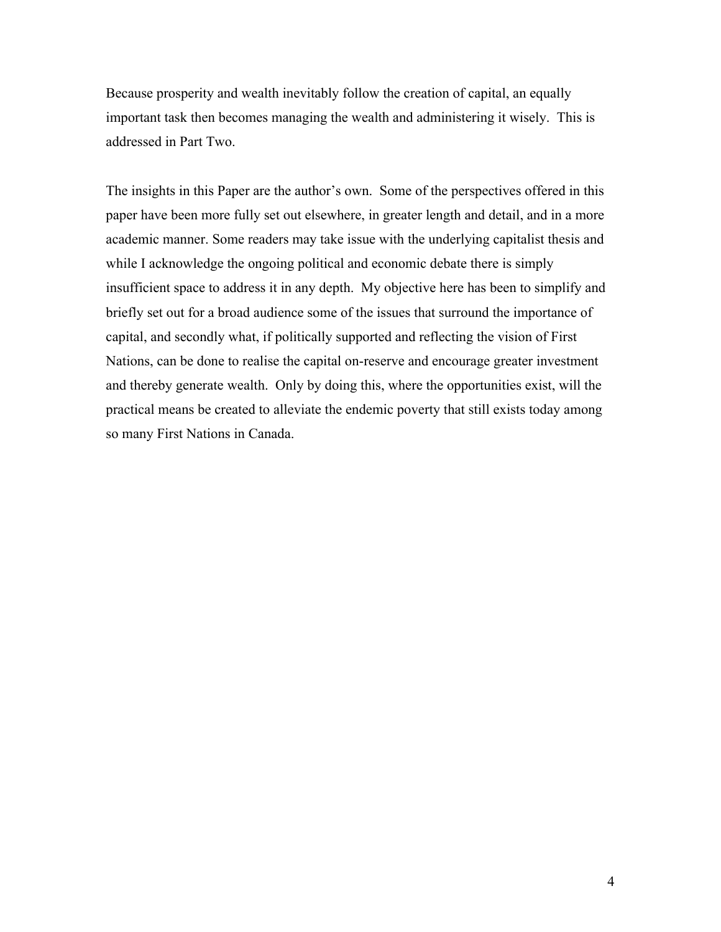Because prosperity and wealth inevitably follow the creation of capital, an equally important task then becomes managing the wealth and administering it wisely. This is addressed in Part Two.

The insights in this Paper are the author's own. Some of the perspectives offered in this paper have been more fully set out elsewhere, in greater length and detail, and in a more academic manner. Some readers may take issue with the underlying capitalist thesis and while I acknowledge the ongoing political and economic debate there is simply insufficient space to address it in any depth. My objective here has been to simplify and briefly set out for a broad audience some of the issues that surround the importance of capital, and secondly what, if politically supported and reflecting the vision of First Nations, can be done to realise the capital on-reserve and encourage greater investment and thereby generate wealth. Only by doing this, where the opportunities exist, will the practical means be created to alleviate the endemic poverty that still exists today among so many First Nations in Canada.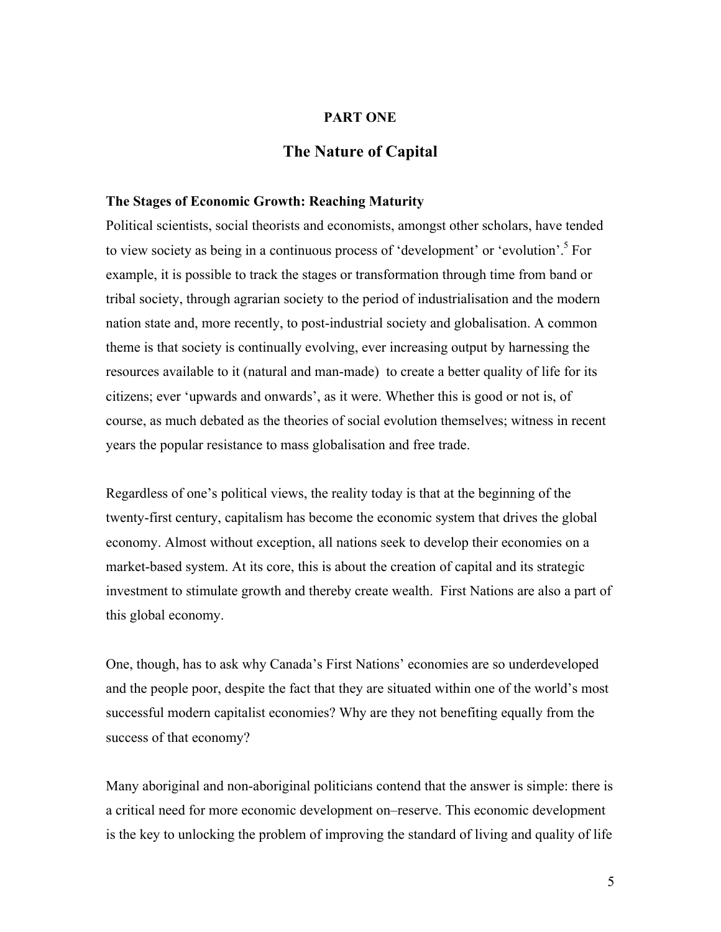# **PART ONE**

# **The Nature of Capital**

#### **The Stages of Economic Growth: Reaching Maturity**

Political scientists, social theorists and economists, amongst other scholars, have tended to view society as being in a continuous process of 'development' or 'evolution'.<sup>5</sup> For example, it is possible to track the stages or transformation through time from band or tribal society, through agrarian society to the period of industrialisation and the modern nation state and, more recently, to post-industrial society and globalisation. A common theme is that society is continually evolving, ever increasing output by harnessing the resources available to it (natural and man-made) to create a better quality of life for its citizens; ever 'upwards and onwards', as it were. Whether this is good or not is, of course, as much debated as the theories of social evolution themselves; witness in recent years the popular resistance to mass globalisation and free trade.

Regardless of one's political views, the reality today is that at the beginning of the twenty-first century, capitalism has become the economic system that drives the global economy. Almost without exception, all nations seek to develop their economies on a market-based system. At its core, this is about the creation of capital and its strategic investment to stimulate growth and thereby create wealth. First Nations are also a part of this global economy.

One, though, has to ask why Canada's First Nations' economies are so underdeveloped and the people poor, despite the fact that they are situated within one of the world's most successful modern capitalist economies? Why are they not benefiting equally from the success of that economy?

Many aboriginal and non-aboriginal politicians contend that the answer is simple: there is a critical need for more economic development on–reserve. This economic development is the key to unlocking the problem of improving the standard of living and quality of life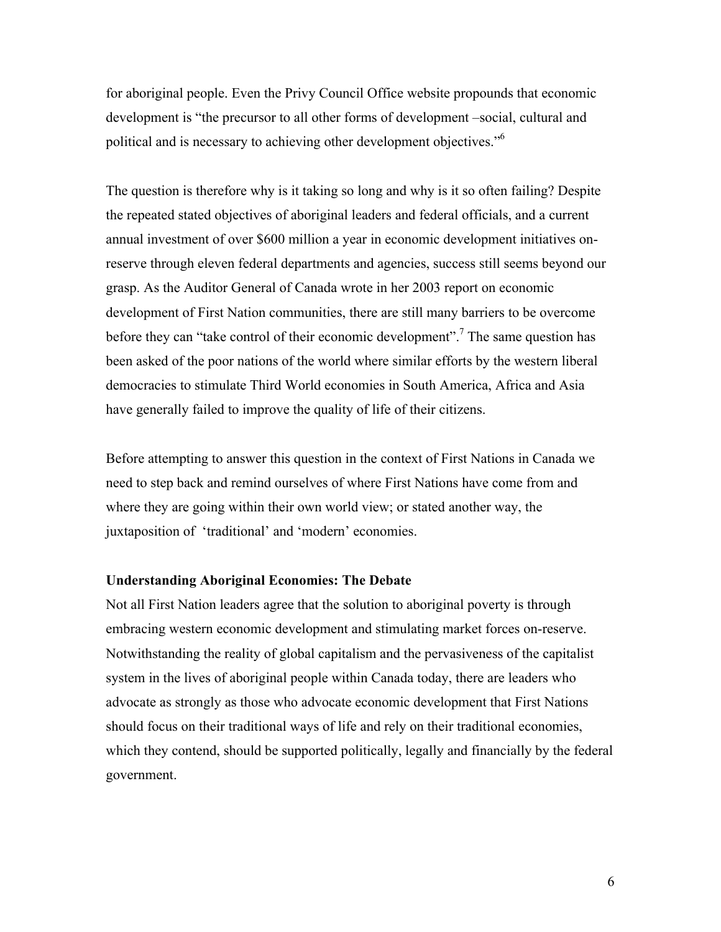for aboriginal people. Even the Privy Council Office website propounds that economic development is "the precursor to all other forms of development –social, cultural and political and is necessary to achieving other development objectives."6

The question is therefore why is it taking so long and why is it so often failing? Despite the repeated stated objectives of aboriginal leaders and federal officials, and a current annual investment of over \$600 million a year in economic development initiatives onreserve through eleven federal departments and agencies, success still seems beyond our grasp. As the Auditor General of Canada wrote in her 2003 report on economic development of First Nation communities, there are still many barriers to be overcome before they can "take control of their economic development".<sup>7</sup> The same question has been asked of the poor nations of the world where similar efforts by the western liberal democracies to stimulate Third World economies in South America, Africa and Asia have generally failed to improve the quality of life of their citizens.

Before attempting to answer this question in the context of First Nations in Canada we need to step back and remind ourselves of where First Nations have come from and where they are going within their own world view; or stated another way, the juxtaposition of 'traditional' and 'modern' economies.

### **Understanding Aboriginal Economies: The Debate**

Not all First Nation leaders agree that the solution to aboriginal poverty is through embracing western economic development and stimulating market forces on-reserve. Notwithstanding the reality of global capitalism and the pervasiveness of the capitalist system in the lives of aboriginal people within Canada today, there are leaders who advocate as strongly as those who advocate economic development that First Nations should focus on their traditional ways of life and rely on their traditional economies, which they contend, should be supported politically, legally and financially by the federal government.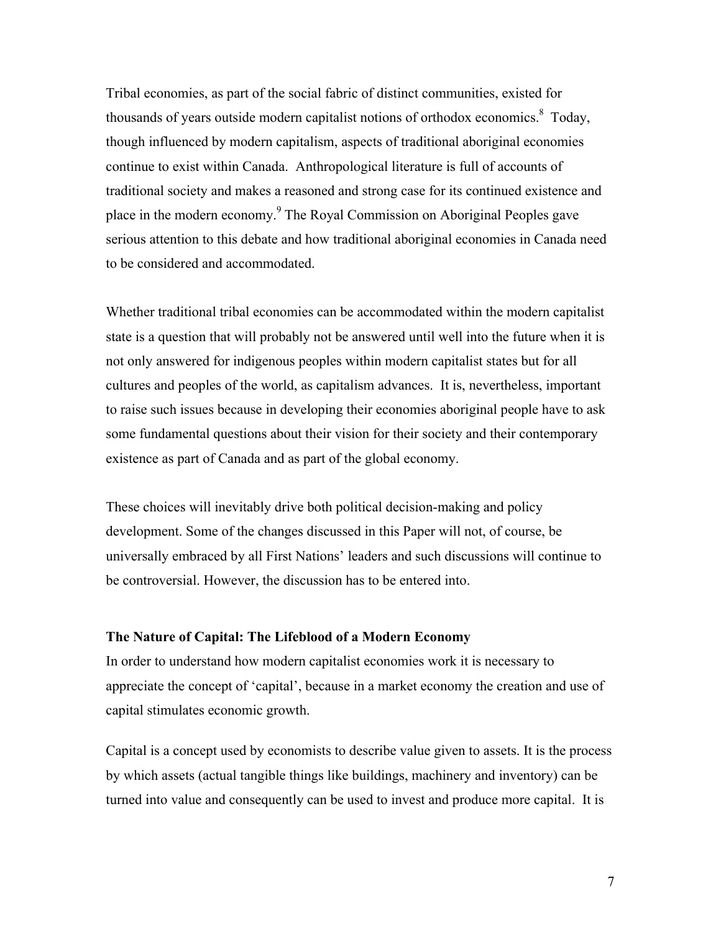Tribal economies, as part of the social fabric of distinct communities, existed for thousands of years outside modern capitalist notions of orthodox economics.<sup>8</sup> Today, though influenced by modern capitalism, aspects of traditional aboriginal economies continue to exist within Canada. Anthropological literature is full of accounts of traditional society and makes a reasoned and strong case for its continued existence and place in the modern economy.<sup>9</sup> The Royal Commission on Aboriginal Peoples gave serious attention to this debate and how traditional aboriginal economies in Canada need to be considered and accommodated.

Whether traditional tribal economies can be accommodated within the modern capitalist state is a question that will probably not be answered until well into the future when it is not only answered for indigenous peoples within modern capitalist states but for all cultures and peoples of the world, as capitalism advances. It is, nevertheless, important to raise such issues because in developing their economies aboriginal people have to ask some fundamental questions about their vision for their society and their contemporary existence as part of Canada and as part of the global economy.

These choices will inevitably drive both political decision-making and policy development. Some of the changes discussed in this Paper will not, of course, be universally embraced by all First Nations' leaders and such discussions will continue to be controversial. However, the discussion has to be entered into.

#### **The Nature of Capital: The Lifeblood of a Modern Economy**

In order to understand how modern capitalist economies work it is necessary to appreciate the concept of 'capital', because in a market economy the creation and use of capital stimulates economic growth.

Capital is a concept used by economists to describe value given to assets. It is the process by which assets (actual tangible things like buildings, machinery and inventory) can be turned into value and consequently can be used to invest and produce more capital. It is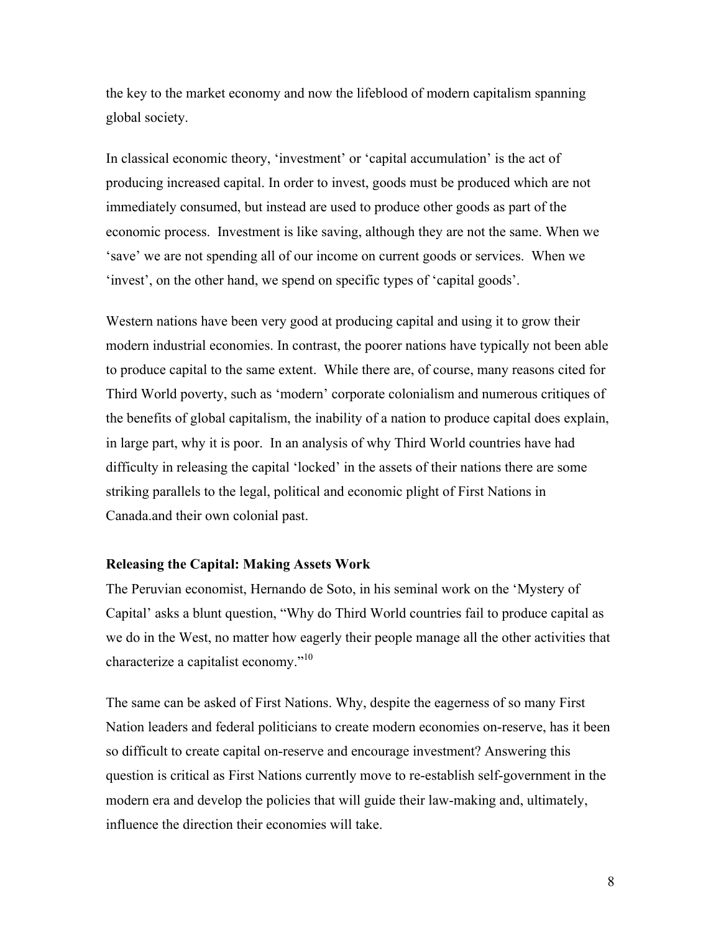the key to the market economy and now the lifeblood of modern capitalism spanning global society.

In classical economic theory, 'investment' or 'capital accumulation' is the act of producing increased capital. In order to invest, goods must be produced which are not immediately consumed, but instead are used to produce other goods as part of the economic process. Investment is like saving, although they are not the same. When we 'save' we are not spending all of our income on current goods or services. When we 'invest', on the other hand, we spend on specific types of 'capital goods'.

Western nations have been very good at producing capital and using it to grow their modern industrial economies. In contrast, the poorer nations have typically not been able to produce capital to the same extent. While there are, of course, many reasons cited for Third World poverty, such as 'modern' corporate colonialism and numerous critiques of the benefits of global capitalism, the inability of a nation to produce capital does explain, in large part, why it is poor. In an analysis of why Third World countries have had difficulty in releasing the capital 'locked' in the assets of their nations there are some striking parallels to the legal, political and economic plight of First Nations in Canada.and their own colonial past.

### **Releasing the Capital: Making Assets Work**

The Peruvian economist, Hernando de Soto, in his seminal work on the 'Mystery of Capital' asks a blunt question, "Why do Third World countries fail to produce capital as we do in the West, no matter how eagerly their people manage all the other activities that characterize a capitalist economy."<sup>10</sup>

The same can be asked of First Nations. Why, despite the eagerness of so many First Nation leaders and federal politicians to create modern economies on-reserve, has it been so difficult to create capital on-reserve and encourage investment? Answering this question is critical as First Nations currently move to re-establish self-government in the modern era and develop the policies that will guide their law-making and, ultimately, influence the direction their economies will take.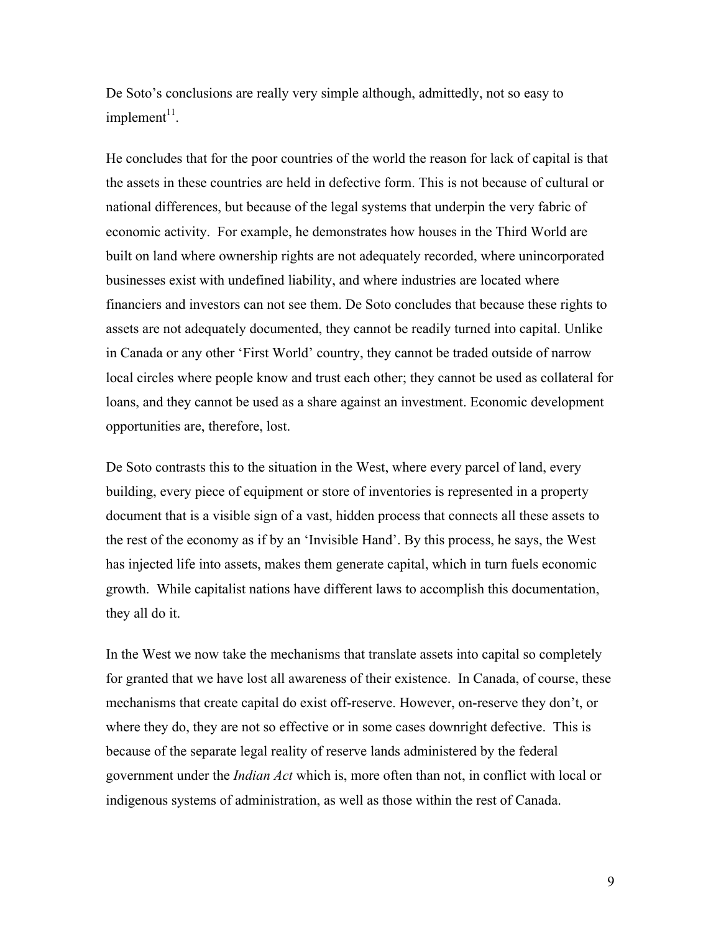De Soto's conclusions are really very simple although, admittedly, not so easy to  $impl$ ement $11$ .

He concludes that for the poor countries of the world the reason for lack of capital is that the assets in these countries are held in defective form. This is not because of cultural or national differences, but because of the legal systems that underpin the very fabric of economic activity. For example, he demonstrates how houses in the Third World are built on land where ownership rights are not adequately recorded, where unincorporated businesses exist with undefined liability, and where industries are located where financiers and investors can not see them. De Soto concludes that because these rights to assets are not adequately documented, they cannot be readily turned into capital. Unlike in Canada or any other 'First World' country, they cannot be traded outside of narrow local circles where people know and trust each other; they cannot be used as collateral for loans, and they cannot be used as a share against an investment. Economic development opportunities are, therefore, lost.

De Soto contrasts this to the situation in the West, where every parcel of land, every building, every piece of equipment or store of inventories is represented in a property document that is a visible sign of a vast, hidden process that connects all these assets to the rest of the economy as if by an 'Invisible Hand'. By this process, he says, the West has injected life into assets, makes them generate capital, which in turn fuels economic growth. While capitalist nations have different laws to accomplish this documentation, they all do it.

In the West we now take the mechanisms that translate assets into capital so completely for granted that we have lost all awareness of their existence. In Canada, of course, these mechanisms that create capital do exist off-reserve. However, on-reserve they don't, or where they do, they are not so effective or in some cases downright defective. This is because of the separate legal reality of reserve lands administered by the federal government under the *Indian Act* which is, more often than not, in conflict with local or indigenous systems of administration, as well as those within the rest of Canada.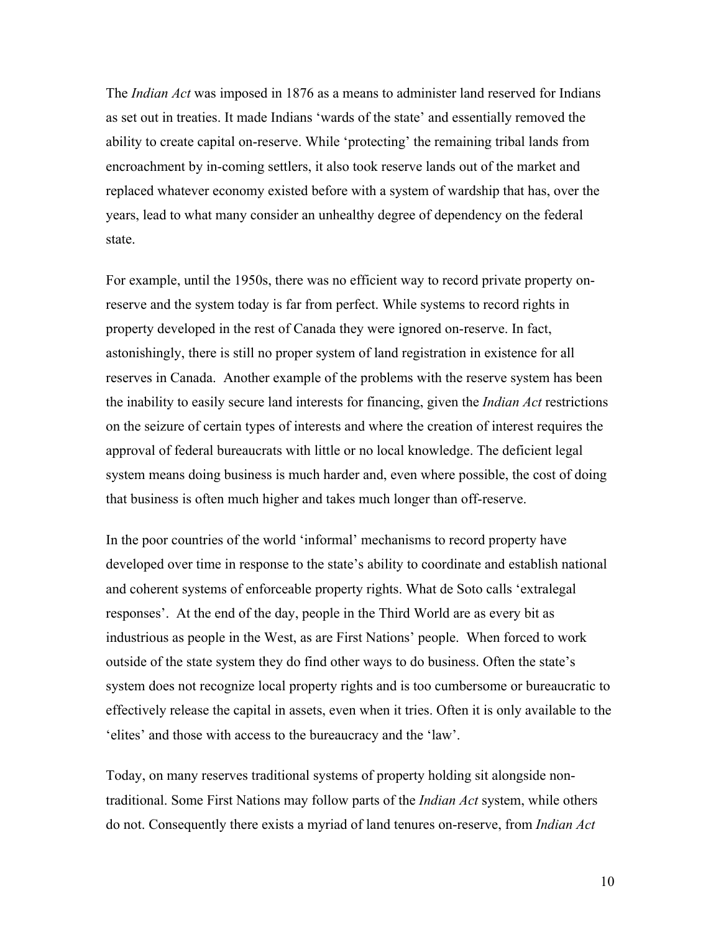The *Indian Act* was imposed in 1876 as a means to administer land reserved for Indians as set out in treaties. It made Indians 'wards of the state' and essentially removed the ability to create capital on-reserve. While 'protecting' the remaining tribal lands from encroachment by in-coming settlers, it also took reserve lands out of the market and replaced whatever economy existed before with a system of wardship that has, over the years, lead to what many consider an unhealthy degree of dependency on the federal state.

For example, until the 1950s, there was no efficient way to record private property onreserve and the system today is far from perfect. While systems to record rights in property developed in the rest of Canada they were ignored on-reserve. In fact, astonishingly, there is still no proper system of land registration in existence for all reserves in Canada. Another example of the problems with the reserve system has been the inability to easily secure land interests for financing, given the *Indian Act* restrictions on the seizure of certain types of interests and where the creation of interest requires the approval of federal bureaucrats with little or no local knowledge. The deficient legal system means doing business is much harder and, even where possible, the cost of doing that business is often much higher and takes much longer than off-reserve.

In the poor countries of the world 'informal' mechanisms to record property have developed over time in response to the state's ability to coordinate and establish national and coherent systems of enforceable property rights. What de Soto calls 'extralegal responses'. At the end of the day, people in the Third World are as every bit as industrious as people in the West, as are First Nations' people. When forced to work outside of the state system they do find other ways to do business. Often the state's system does not recognize local property rights and is too cumbersome or bureaucratic to effectively release the capital in assets, even when it tries. Often it is only available to the 'elites' and those with access to the bureaucracy and the 'law'.

Today, on many reserves traditional systems of property holding sit alongside nontraditional. Some First Nations may follow parts of the *Indian Act* system, while others do not. Consequently there exists a myriad of land tenures on-reserve, from *Indian Act*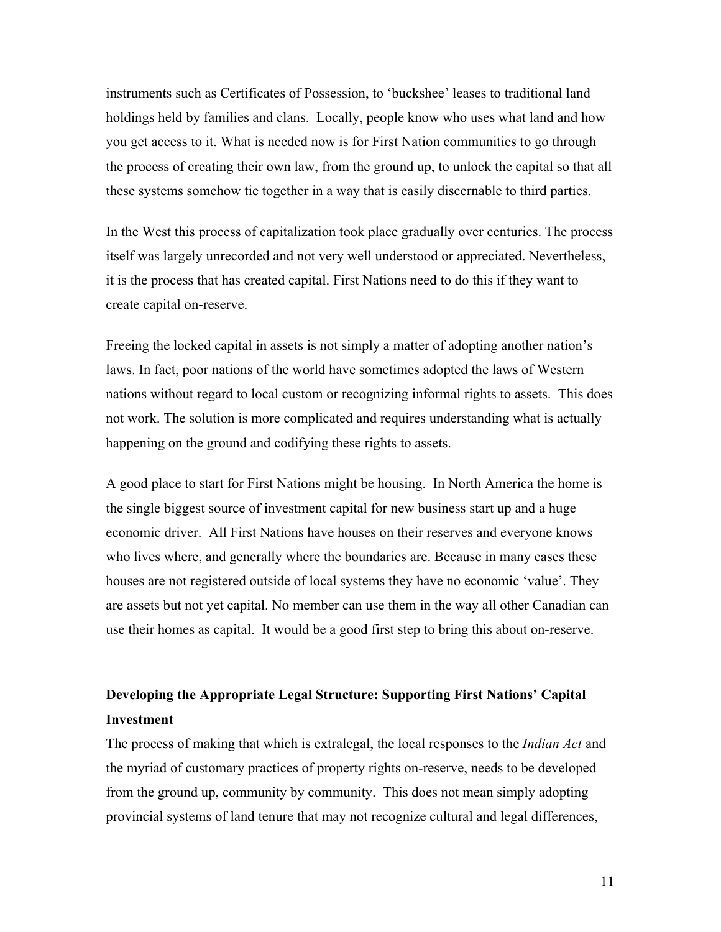instruments such as Certificates of Possession, to 'buckshee' leases to traditional land holdings held by families and clans. Locally, people know who uses what land and how you get access to it. What is needed now is for First Nation communities to go through the process of creating their own law, from the ground up, to unlock the capital so that all these systems somehow tie together in a way that is easily discernable to third parties.

In the West this process of capitalization took place gradually over centuries. The process itself was largely unrecorded and not very well understood or appreciated. Nevertheless, it is the process that has created capital. First Nations need to do this if they want to create capital on-reserve.

Freeing the locked capital in assets is not simply a matter of adopting another nation's laws. In fact, poor nations of the world have sometimes adopted the laws of Western nations without regard to local custom or recognizing informal rights to assets. This does not work. The solution is more complicated and requires understanding what is actually happening on the ground and codifying these rights to assets.

A good place to start for First Nations might be housing. In North America the home is the single biggest source of investment capital for new business start up and a huge economic driver. All First Nations have houses on their reserves and everyone knows who lives where, and generally where the boundaries are. Because in many cases these houses are not registered outside of local systems they have no economic 'value'. They are assets but not yet capital. No member can use them in the way all other Canadian can use their homes as capital. It would be a good first step to bring this about on-reserve.

# **Developing the Appropriate Legal Structure: Supporting First Nations' Capital Investment**

The process of making that which is extralegal, the local responses to the *Indian Act* and the myriad of customary practices of property rights on-reserve, needs to be developed from the ground up, community by community. This does not mean simply adopting provincial systems of land tenure that may not recognize cultural and legal differences,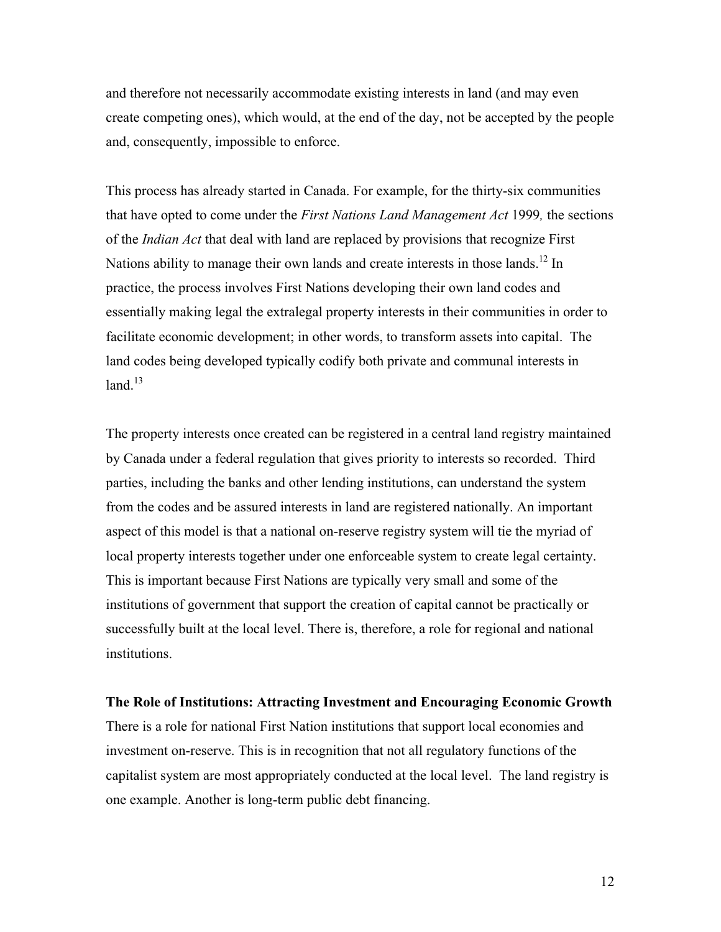and therefore not necessarily accommodate existing interests in land (and may even create competing ones), which would, at the end of the day, not be accepted by the people and, consequently, impossible to enforce.

This process has already started in Canada. For example, for the thirty-six communities that have opted to come under the *First Nations Land Management Act* 1999*,* the sections of the *Indian Act* that deal with land are replaced by provisions that recognize First Nations ability to manage their own lands and create interests in those lands.<sup>12</sup> In practice, the process involves First Nations developing their own land codes and essentially making legal the extralegal property interests in their communities in order to facilitate economic development; in other words, to transform assets into capital. The land codes being developed typically codify both private and communal interests in land $13$ 

The property interests once created can be registered in a central land registry maintained by Canada under a federal regulation that gives priority to interests so recorded. Third parties, including the banks and other lending institutions, can understand the system from the codes and be assured interests in land are registered nationally. An important aspect of this model is that a national on-reserve registry system will tie the myriad of local property interests together under one enforceable system to create legal certainty. This is important because First Nations are typically very small and some of the institutions of government that support the creation of capital cannot be practically or successfully built at the local level. There is, therefore, a role for regional and national institutions.

**The Role of Institutions: Attracting Investment and Encouraging Economic Growth** There is a role for national First Nation institutions that support local economies and investment on-reserve. This is in recognition that not all regulatory functions of the capitalist system are most appropriately conducted at the local level. The land registry is one example. Another is long-term public debt financing.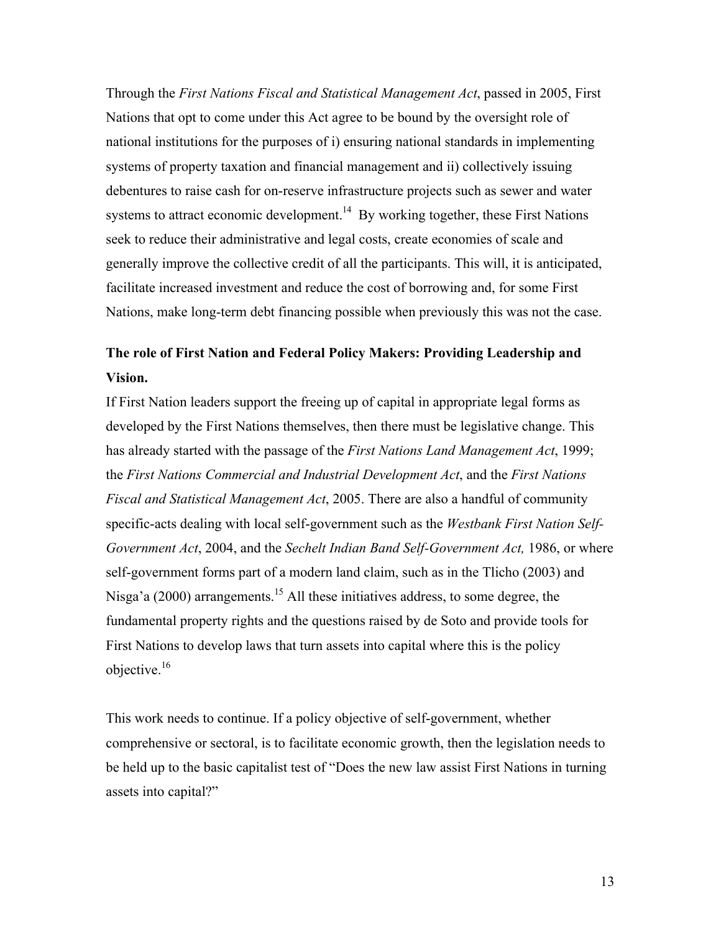Through the *First Nations Fiscal and Statistical Management Act*, passed in 2005, First Nations that opt to come under this Act agree to be bound by the oversight role of national institutions for the purposes of i) ensuring national standards in implementing systems of property taxation and financial management and ii) collectively issuing debentures to raise cash for on-reserve infrastructure projects such as sewer and water systems to attract economic development.<sup>14</sup> By working together, these First Nations seek to reduce their administrative and legal costs, create economies of scale and generally improve the collective credit of all the participants. This will, it is anticipated, facilitate increased investment and reduce the cost of borrowing and, for some First Nations, make long-term debt financing possible when previously this was not the case.

# **The role of First Nation and Federal Policy Makers: Providing Leadership and Vision.**

If First Nation leaders support the freeing up of capital in appropriate legal forms as developed by the First Nations themselves, then there must be legislative change. This has already started with the passage of the *First Nations Land Management Act*, 1999; the *First Nations Commercial and Industrial Development Act*, and the *First Nations Fiscal and Statistical Management Act*, 2005. There are also a handful of community specific-acts dealing with local self-government such as the *Westbank First Nation Self-Government Act*, 2004, and the *Sechelt Indian Band Self-Government Act,* 1986, or where self-government forms part of a modern land claim, such as in the Tlicho (2003) and Nisga'a (2000) arrangements.<sup>15</sup> All these initiatives address, to some degree, the fundamental property rights and the questions raised by de Soto and provide tools for First Nations to develop laws that turn assets into capital where this is the policy objective.<sup>16</sup>

This work needs to continue. If a policy objective of self-government, whether comprehensive or sectoral, is to facilitate economic growth, then the legislation needs to be held up to the basic capitalist test of "Does the new law assist First Nations in turning assets into capital?"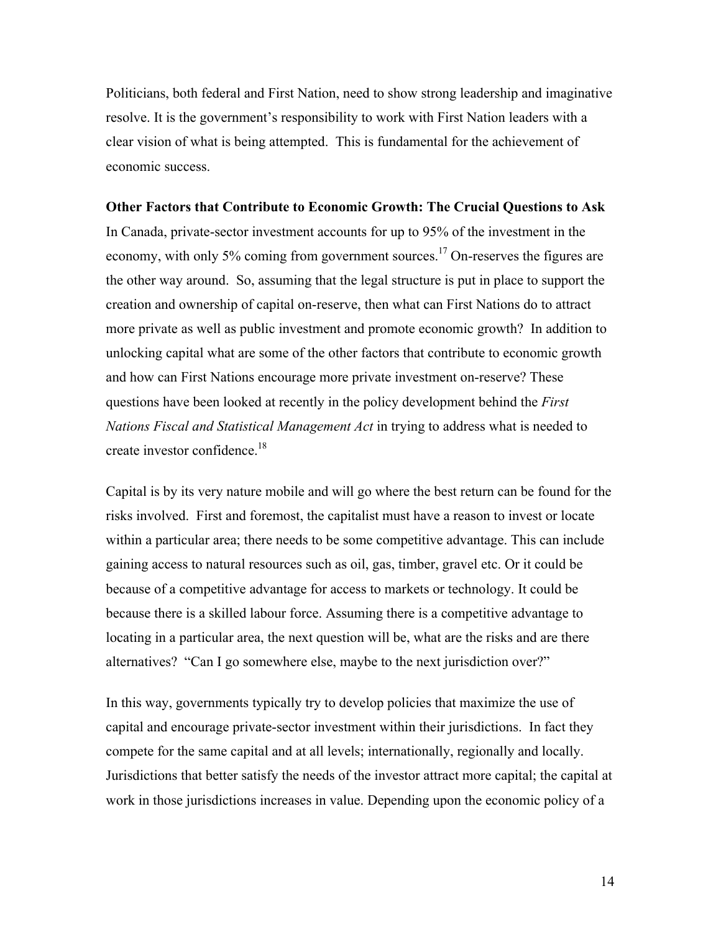Politicians, both federal and First Nation, need to show strong leadership and imaginative resolve. It is the government's responsibility to work with First Nation leaders with a clear vision of what is being attempted. This is fundamental for the achievement of economic success.

# **Other Factors that Contribute to Economic Growth: The Crucial Questions to Ask**

In Canada, private-sector investment accounts for up to 95% of the investment in the economy, with only 5% coming from government sources.<sup>17</sup> On-reserves the figures are the other way around. So, assuming that the legal structure is put in place to support the creation and ownership of capital on-reserve, then what can First Nations do to attract more private as well as public investment and promote economic growth? In addition to unlocking capital what are some of the other factors that contribute to economic growth and how can First Nations encourage more private investment on-reserve? These questions have been looked at recently in the policy development behind the *First Nations Fiscal and Statistical Management Act* in trying to address what is needed to create investor confidence.<sup>18</sup>

Capital is by its very nature mobile and will go where the best return can be found for the risks involved. First and foremost, the capitalist must have a reason to invest or locate within a particular area; there needs to be some competitive advantage. This can include gaining access to natural resources such as oil, gas, timber, gravel etc. Or it could be because of a competitive advantage for access to markets or technology. It could be because there is a skilled labour force. Assuming there is a competitive advantage to locating in a particular area, the next question will be, what are the risks and are there alternatives? "Can I go somewhere else, maybe to the next jurisdiction over?"

In this way, governments typically try to develop policies that maximize the use of capital and encourage private-sector investment within their jurisdictions. In fact they compete for the same capital and at all levels; internationally, regionally and locally. Jurisdictions that better satisfy the needs of the investor attract more capital; the capital at work in those jurisdictions increases in value. Depending upon the economic policy of a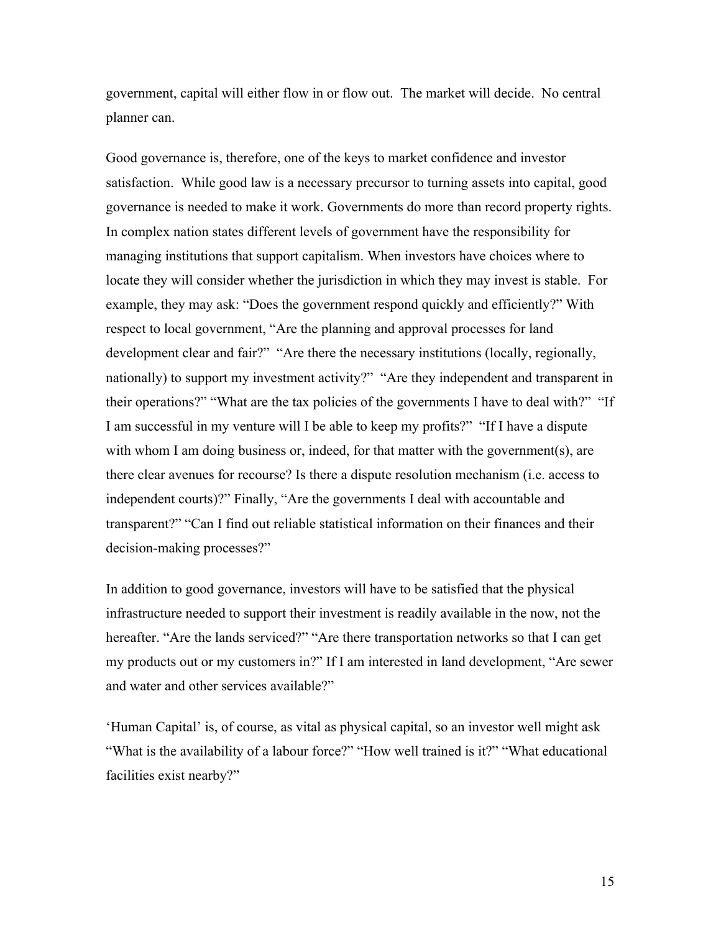government, capital will either flow in or flow out. The market will decide. No central planner can.

Good governance is, therefore, one of the keys to market confidence and investor satisfaction. While good law is a necessary precursor to turning assets into capital, good governance is needed to make it work. Governments do more than record property rights. In complex nation states different levels of government have the responsibility for managing institutions that support capitalism. When investors have choices where to locate they will consider whether the jurisdiction in which they may invest is stable. For example, they may ask: "Does the government respond quickly and efficiently?" With respect to local government, "Are the planning and approval processes for land development clear and fair?" "Are there the necessary institutions (locally, regionally, nationally) to support my investment activity?" "Are they independent and transparent in their operations?" "What are the tax policies of the governments I have to deal with?" "If I am successful in my venture will I be able to keep my profits?" "If I have a dispute with whom I am doing business or, indeed, for that matter with the government(s), are there clear avenues for recourse? Is there a dispute resolution mechanism (i.e. access to independent courts)?" Finally, "Are the governments I deal with accountable and transparent?" "Can I find out reliable statistical information on their finances and their decision-making processes?"

In addition to good governance, investors will have to be satisfied that the physical infrastructure needed to support their investment is readily available in the now, not the hereafter. "Are the lands serviced?" "Are there transportation networks so that I can get my products out or my customers in?" If I am interested in land development, "Are sewer and water and other services available?"

'Human Capital' is, of course, as vital as physical capital, so an investor well might ask "What is the availability of a labour force?" "How well trained is it?" "What educational facilities exist nearby?"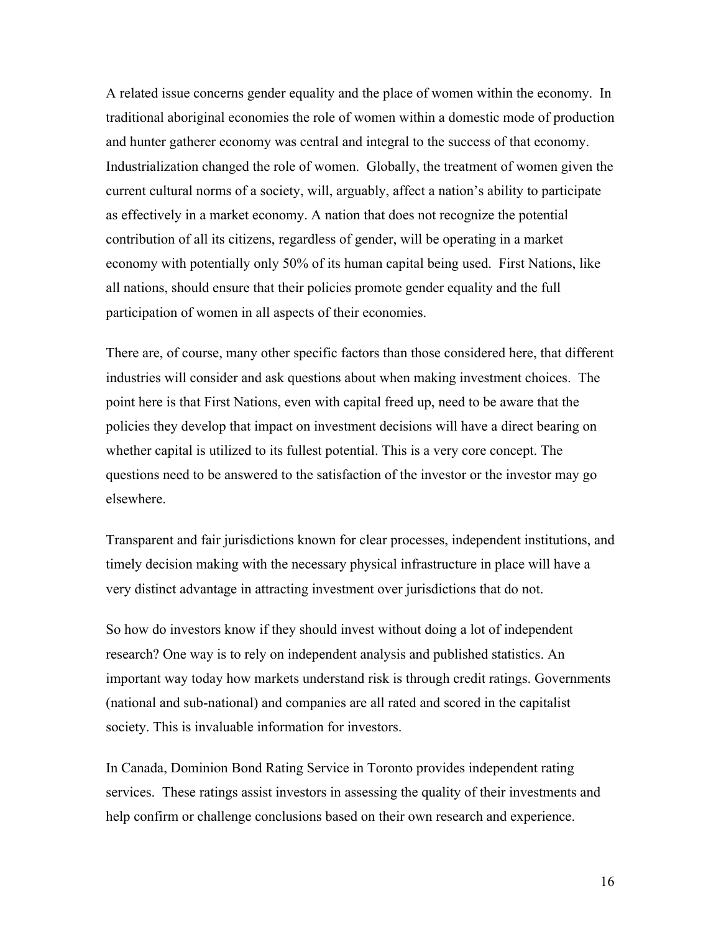A related issue concerns gender equality and the place of women within the economy. In traditional aboriginal economies the role of women within a domestic mode of production and hunter gatherer economy was central and integral to the success of that economy. Industrialization changed the role of women. Globally, the treatment of women given the current cultural norms of a society, will, arguably, affect a nation's ability to participate as effectively in a market economy. A nation that does not recognize the potential contribution of all its citizens, regardless of gender, will be operating in a market economy with potentially only 50% of its human capital being used. First Nations, like all nations, should ensure that their policies promote gender equality and the full participation of women in all aspects of their economies.

There are, of course, many other specific factors than those considered here, that different industries will consider and ask questions about when making investment choices. The point here is that First Nations, even with capital freed up, need to be aware that the policies they develop that impact on investment decisions will have a direct bearing on whether capital is utilized to its fullest potential. This is a very core concept. The questions need to be answered to the satisfaction of the investor or the investor may go elsewhere.

Transparent and fair jurisdictions known for clear processes, independent institutions, and timely decision making with the necessary physical infrastructure in place will have a very distinct advantage in attracting investment over jurisdictions that do not.

So how do investors know if they should invest without doing a lot of independent research? One way is to rely on independent analysis and published statistics. An important way today how markets understand risk is through credit ratings. Governments (national and sub-national) and companies are all rated and scored in the capitalist society. This is invaluable information for investors.

In Canada, Dominion Bond Rating Service in Toronto provides independent rating services. These ratings assist investors in assessing the quality of their investments and help confirm or challenge conclusions based on their own research and experience.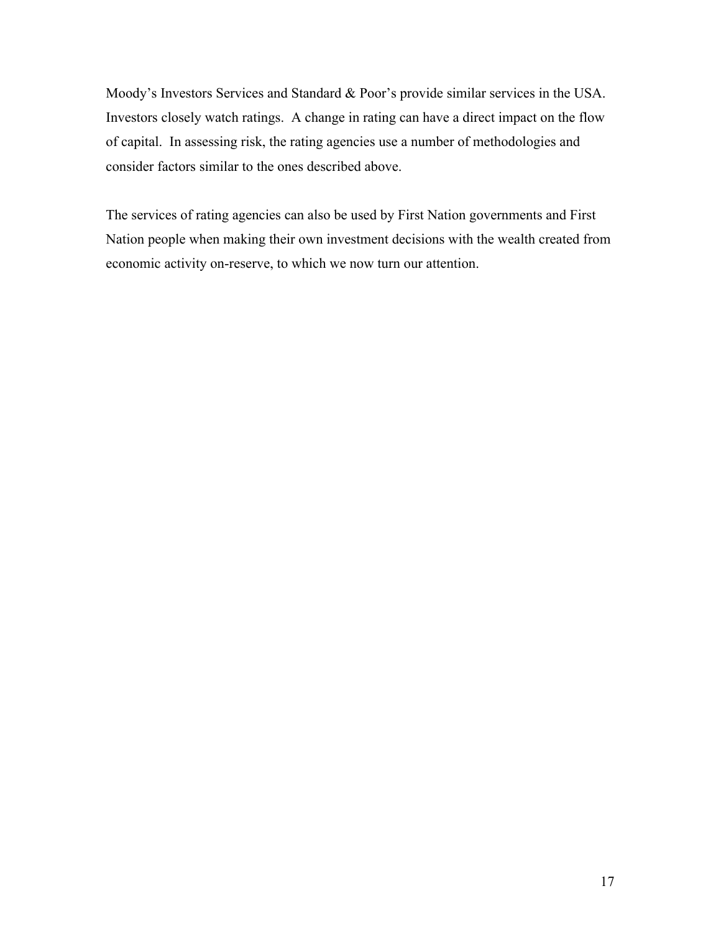Moody's Investors Services and Standard & Poor's provide similar services in the USA. Investors closely watch ratings. A change in rating can have a direct impact on the flow of capital. In assessing risk, the rating agencies use a number of methodologies and consider factors similar to the ones described above.

The services of rating agencies can also be used by First Nation governments and First Nation people when making their own investment decisions with the wealth created from economic activity on-reserve, to which we now turn our attention.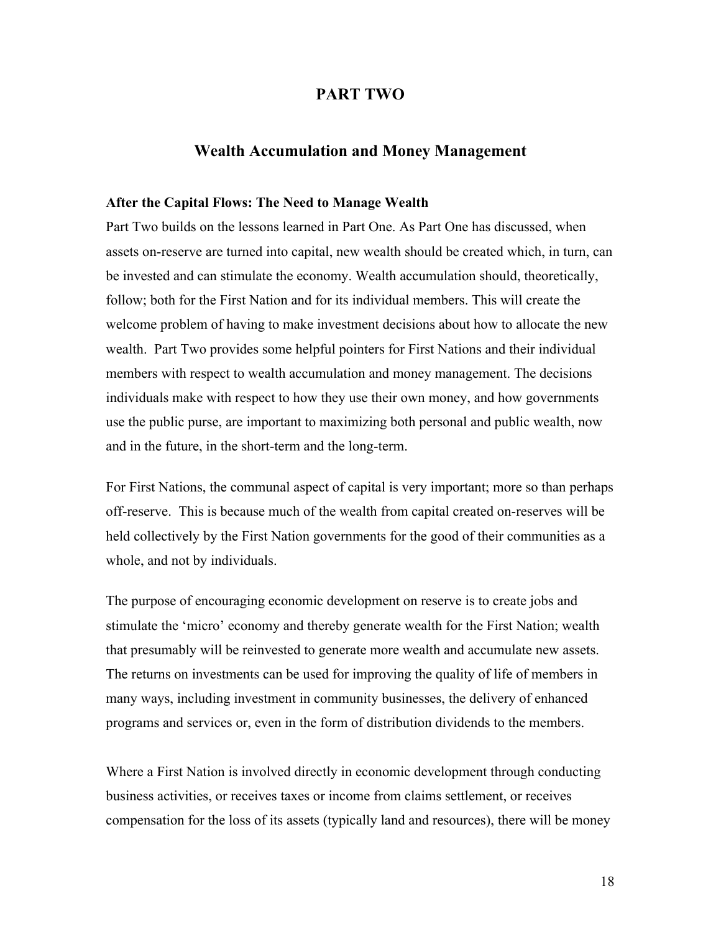# **PART TWO**

# **Wealth Accumulation and Money Management**

#### **After the Capital Flows: The Need to Manage Wealth**

Part Two builds on the lessons learned in Part One. As Part One has discussed, when assets on-reserve are turned into capital, new wealth should be created which, in turn, can be invested and can stimulate the economy. Wealth accumulation should, theoretically, follow; both for the First Nation and for its individual members. This will create the welcome problem of having to make investment decisions about how to allocate the new wealth. Part Two provides some helpful pointers for First Nations and their individual members with respect to wealth accumulation and money management. The decisions individuals make with respect to how they use their own money, and how governments use the public purse, are important to maximizing both personal and public wealth, now and in the future, in the short-term and the long-term.

For First Nations, the communal aspect of capital is very important; more so than perhaps off-reserve. This is because much of the wealth from capital created on-reserves will be held collectively by the First Nation governments for the good of their communities as a whole, and not by individuals.

The purpose of encouraging economic development on reserve is to create jobs and stimulate the 'micro' economy and thereby generate wealth for the First Nation; wealth that presumably will be reinvested to generate more wealth and accumulate new assets. The returns on investments can be used for improving the quality of life of members in many ways, including investment in community businesses, the delivery of enhanced programs and services or, even in the form of distribution dividends to the members.

Where a First Nation is involved directly in economic development through conducting business activities, or receives taxes or income from claims settlement, or receives compensation for the loss of its assets (typically land and resources), there will be money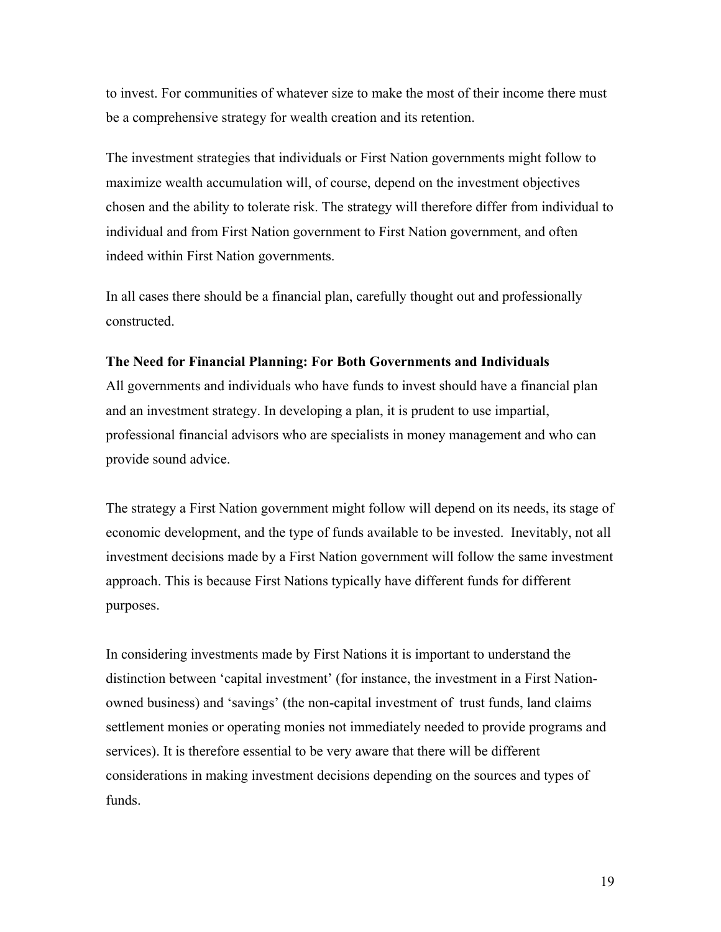to invest. For communities of whatever size to make the most of their income there must be a comprehensive strategy for wealth creation and its retention.

The investment strategies that individuals or First Nation governments might follow to maximize wealth accumulation will, of course, depend on the investment objectives chosen and the ability to tolerate risk. The strategy will therefore differ from individual to individual and from First Nation government to First Nation government, and often indeed within First Nation governments.

In all cases there should be a financial plan, carefully thought out and professionally constructed.

# **The Need for Financial Planning: For Both Governments and Individuals**

All governments and individuals who have funds to invest should have a financial plan and an investment strategy. In developing a plan, it is prudent to use impartial, professional financial advisors who are specialists in money management and who can provide sound advice.

The strategy a First Nation government might follow will depend on its needs, its stage of economic development, and the type of funds available to be invested. Inevitably, not all investment decisions made by a First Nation government will follow the same investment approach. This is because First Nations typically have different funds for different purposes.

In considering investments made by First Nations it is important to understand the distinction between 'capital investment' (for instance, the investment in a First Nationowned business) and 'savings' (the non-capital investment of trust funds, land claims settlement monies or operating monies not immediately needed to provide programs and services). It is therefore essential to be very aware that there will be different considerations in making investment decisions depending on the sources and types of funds.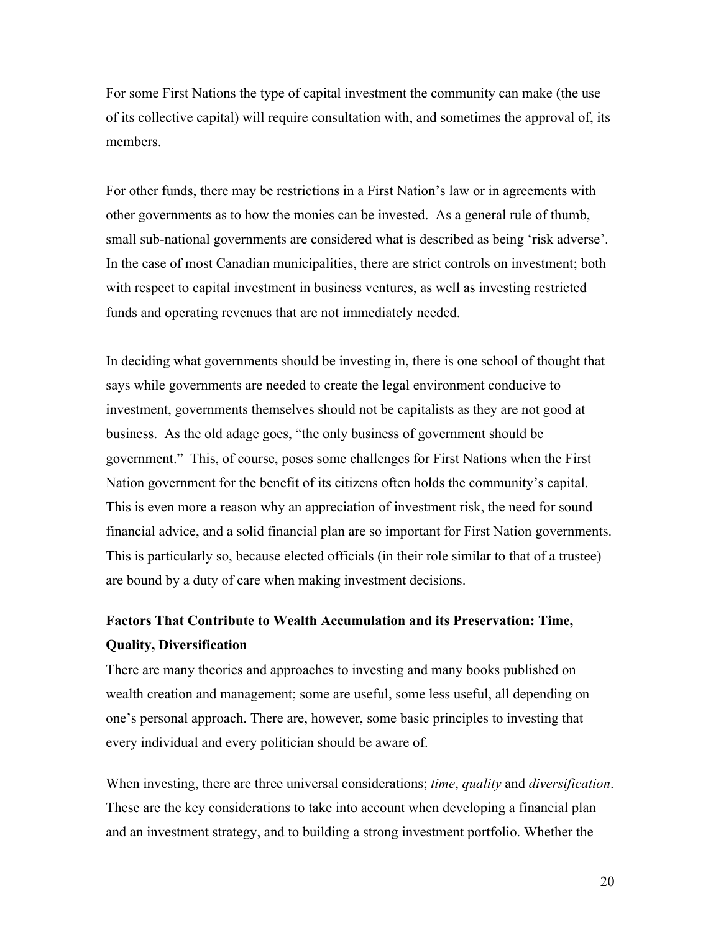For some First Nations the type of capital investment the community can make (the use of its collective capital) will require consultation with, and sometimes the approval of, its members.

For other funds, there may be restrictions in a First Nation's law or in agreements with other governments as to how the monies can be invested. As a general rule of thumb, small sub-national governments are considered what is described as being 'risk adverse'. In the case of most Canadian municipalities, there are strict controls on investment; both with respect to capital investment in business ventures, as well as investing restricted funds and operating revenues that are not immediately needed.

In deciding what governments should be investing in, there is one school of thought that says while governments are needed to create the legal environment conducive to investment, governments themselves should not be capitalists as they are not good at business. As the old adage goes, "the only business of government should be government." This, of course, poses some challenges for First Nations when the First Nation government for the benefit of its citizens often holds the community's capital. This is even more a reason why an appreciation of investment risk, the need for sound financial advice, and a solid financial plan are so important for First Nation governments. This is particularly so, because elected officials (in their role similar to that of a trustee) are bound by a duty of care when making investment decisions.

# **Factors That Contribute to Wealth Accumulation and its Preservation: Time, Quality, Diversification**

There are many theories and approaches to investing and many books published on wealth creation and management; some are useful, some less useful, all depending on one's personal approach. There are, however, some basic principles to investing that every individual and every politician should be aware of.

When investing, there are three universal considerations; *time*, *quality* and *diversification*. These are the key considerations to take into account when developing a financial plan and an investment strategy, and to building a strong investment portfolio. Whether the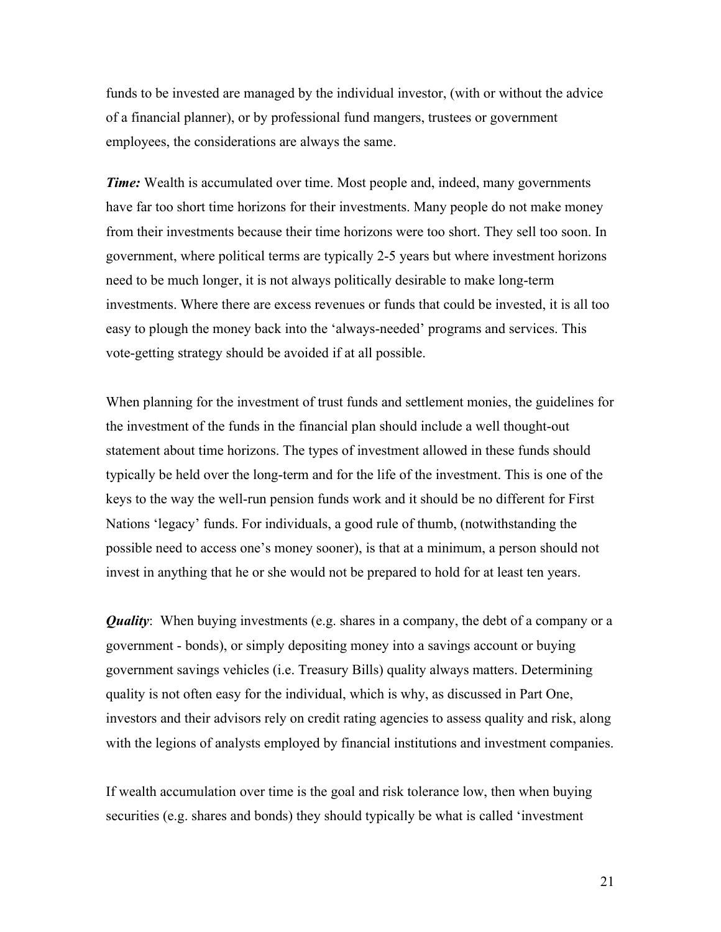funds to be invested are managed by the individual investor, (with or without the advice of a financial planner), or by professional fund mangers, trustees or government employees, the considerations are always the same.

*Time:* Wealth is accumulated over time. Most people and, indeed, many governments have far too short time horizons for their investments. Many people do not make money from their investments because their time horizons were too short. They sell too soon. In government, where political terms are typically 2-5 years but where investment horizons need to be much longer, it is not always politically desirable to make long-term investments. Where there are excess revenues or funds that could be invested, it is all too easy to plough the money back into the 'always-needed' programs and services. This vote-getting strategy should be avoided if at all possible.

When planning for the investment of trust funds and settlement monies, the guidelines for the investment of the funds in the financial plan should include a well thought-out statement about time horizons. The types of investment allowed in these funds should typically be held over the long-term and for the life of the investment. This is one of the keys to the way the well-run pension funds work and it should be no different for First Nations 'legacy' funds. For individuals, a good rule of thumb, (notwithstanding the possible need to access one's money sooner), is that at a minimum, a person should not invest in anything that he or she would not be prepared to hold for at least ten years.

*Quality*: When buying investments (e.g. shares in a company, the debt of a company or a government - bonds), or simply depositing money into a savings account or buying government savings vehicles (i.e. Treasury Bills) quality always matters. Determining quality is not often easy for the individual, which is why, as discussed in Part One, investors and their advisors rely on credit rating agencies to assess quality and risk, along with the legions of analysts employed by financial institutions and investment companies.

If wealth accumulation over time is the goal and risk tolerance low, then when buying securities (e.g. shares and bonds) they should typically be what is called 'investment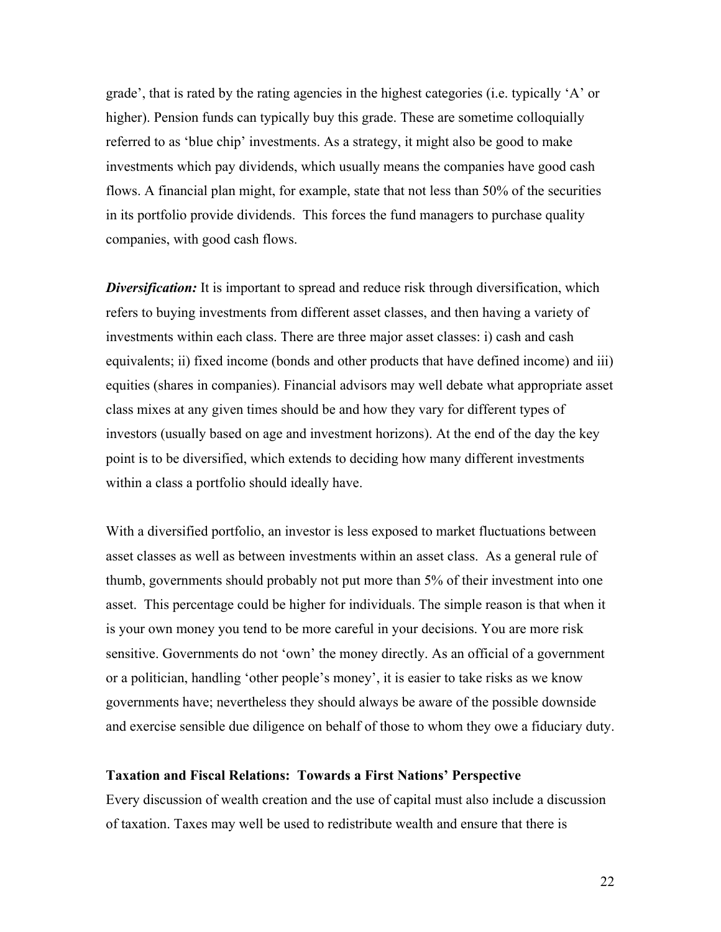grade', that is rated by the rating agencies in the highest categories (i.e. typically 'A' or higher). Pension funds can typically buy this grade. These are sometime colloquially referred to as 'blue chip' investments. As a strategy, it might also be good to make investments which pay dividends, which usually means the companies have good cash flows. A financial plan might, for example, state that not less than 50% of the securities in its portfolio provide dividends. This forces the fund managers to purchase quality companies, with good cash flows.

*Diversification:* It is important to spread and reduce risk through diversification, which refers to buying investments from different asset classes, and then having a variety of investments within each class. There are three major asset classes: i) cash and cash equivalents; ii) fixed income (bonds and other products that have defined income) and iii) equities (shares in companies). Financial advisors may well debate what appropriate asset class mixes at any given times should be and how they vary for different types of investors (usually based on age and investment horizons). At the end of the day the key point is to be diversified, which extends to deciding how many different investments within a class a portfolio should ideally have.

With a diversified portfolio, an investor is less exposed to market fluctuations between asset classes as well as between investments within an asset class. As a general rule of thumb, governments should probably not put more than 5% of their investment into one asset. This percentage could be higher for individuals. The simple reason is that when it is your own money you tend to be more careful in your decisions. You are more risk sensitive. Governments do not 'own' the money directly. As an official of a government or a politician, handling 'other people's money', it is easier to take risks as we know governments have; nevertheless they should always be aware of the possible downside and exercise sensible due diligence on behalf of those to whom they owe a fiduciary duty.

# **Taxation and Fiscal Relations: Towards a First Nations' Perspective**

Every discussion of wealth creation and the use of capital must also include a discussion of taxation. Taxes may well be used to redistribute wealth and ensure that there is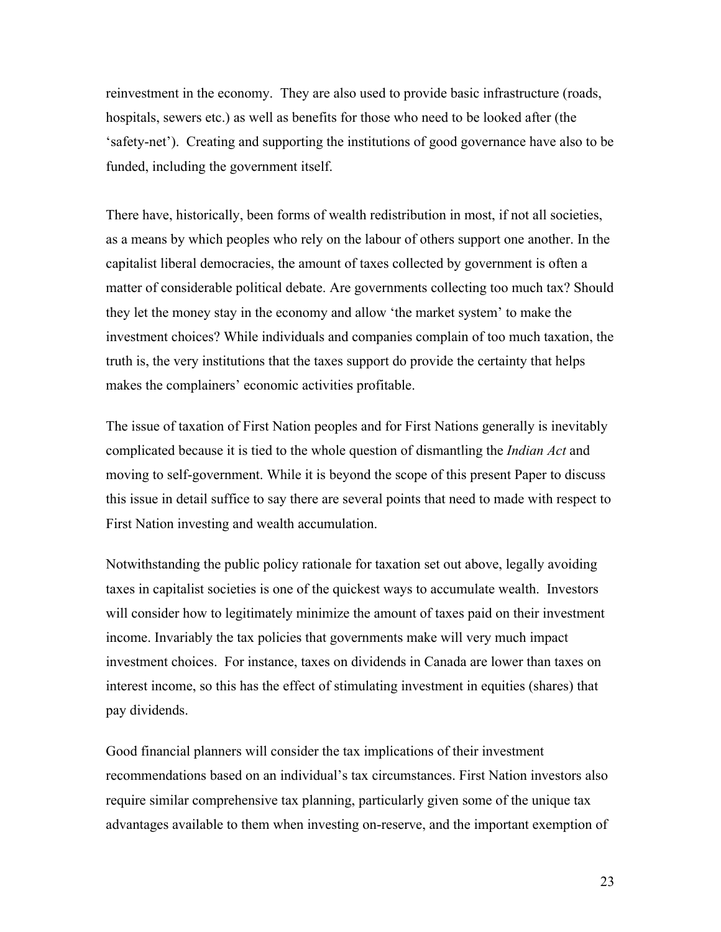reinvestment in the economy. They are also used to provide basic infrastructure (roads, hospitals, sewers etc.) as well as benefits for those who need to be looked after (the 'safety-net'). Creating and supporting the institutions of good governance have also to be funded, including the government itself.

There have, historically, been forms of wealth redistribution in most, if not all societies, as a means by which peoples who rely on the labour of others support one another. In the capitalist liberal democracies, the amount of taxes collected by government is often a matter of considerable political debate. Are governments collecting too much tax? Should they let the money stay in the economy and allow 'the market system' to make the investment choices? While individuals and companies complain of too much taxation, the truth is, the very institutions that the taxes support do provide the certainty that helps makes the complainers' economic activities profitable.

The issue of taxation of First Nation peoples and for First Nations generally is inevitably complicated because it is tied to the whole question of dismantling the *Indian Act* and moving to self-government. While it is beyond the scope of this present Paper to discuss this issue in detail suffice to say there are several points that need to made with respect to First Nation investing and wealth accumulation.

Notwithstanding the public policy rationale for taxation set out above, legally avoiding taxes in capitalist societies is one of the quickest ways to accumulate wealth. Investors will consider how to legitimately minimize the amount of taxes paid on their investment income. Invariably the tax policies that governments make will very much impact investment choices. For instance, taxes on dividends in Canada are lower than taxes on interest income, so this has the effect of stimulating investment in equities (shares) that pay dividends.

Good financial planners will consider the tax implications of their investment recommendations based on an individual's tax circumstances. First Nation investors also require similar comprehensive tax planning, particularly given some of the unique tax advantages available to them when investing on-reserve, and the important exemption of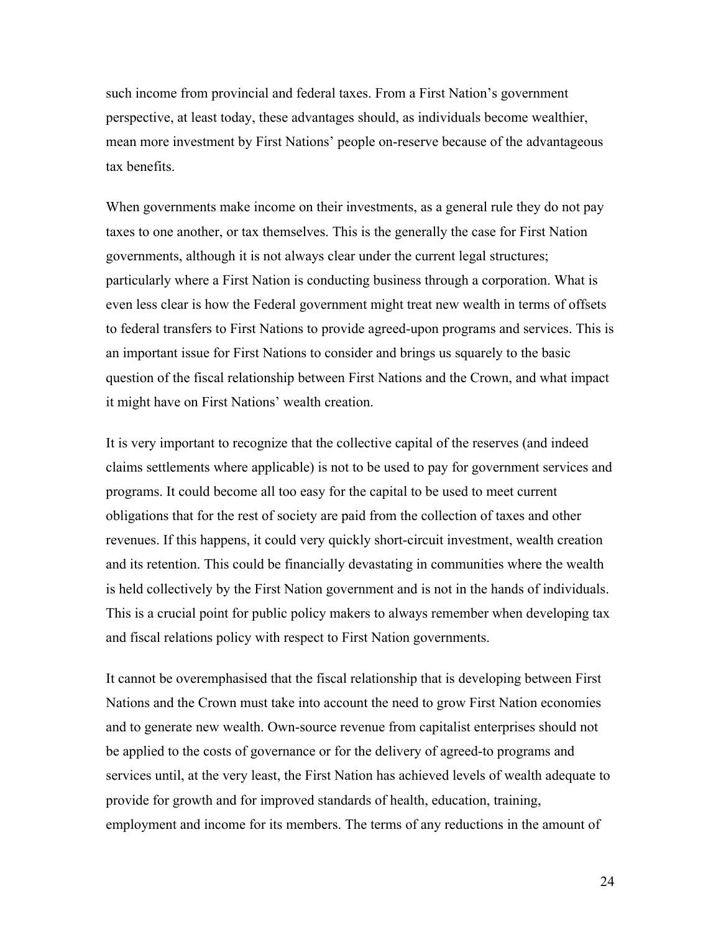such income from provincial and federal taxes. From a First Nation's government perspective, at least today, these advantages should, as individuals become wealthier, mean more investment by First Nations' people on-reserve because of the advantageous tax benefits.

When governments make income on their investments, as a general rule they do not pay taxes to one another, or tax themselves. This is the generally the case for First Nation governments, although it is not always clear under the current legal structures; particularly where a First Nation is conducting business through a corporation. What is even less clear is how the Federal government might treat new wealth in terms of offsets to federal transfers to First Nations to provide agreed-upon programs and services. This is an important issue for First Nations to consider and brings us squarely to the basic question of the fiscal relationship between First Nations and the Crown, and what impact it might have on First Nations' wealth creation.

It is very important to recognize that the collective capital of the reserves (and indeed claims settlements where applicable) is not to be used to pay for government services and programs. It could become all too easy for the capital to be used to meet current obligations that for the rest of society are paid from the collection of taxes and other revenues. If this happens, it could very quickly short-circuit investment, wealth creation and its retention. This could be financially devastating in communities where the wealth is held collectively by the First Nation government and is not in the hands of individuals. This is a crucial point for public policy makers to always remember when developing tax and fiscal relations policy with respect to First Nation governments.

It cannot be overemphasised that the fiscal relationship that is developing between First Nations and the Crown must take into account the need to grow First Nation economies and to generate new wealth. Own-source revenue from capitalist enterprises should not be applied to the costs of governance or for the delivery of agreed-to programs and services until, at the very least, the First Nation has achieved levels of wealth adequate to provide for growth and for improved standards of health, education, training, employment and income for its members. The terms of any reductions in the amount of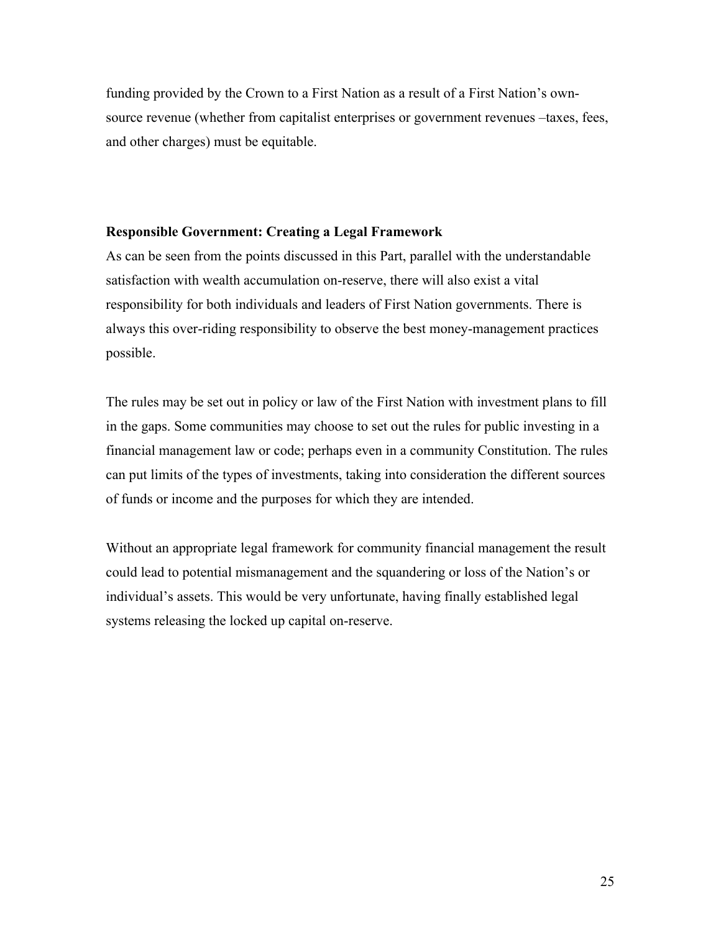funding provided by the Crown to a First Nation as a result of a First Nation's ownsource revenue (whether from capitalist enterprises or government revenues –taxes, fees, and other charges) must be equitable.

## **Responsible Government: Creating a Legal Framework**

As can be seen from the points discussed in this Part, parallel with the understandable satisfaction with wealth accumulation on-reserve, there will also exist a vital responsibility for both individuals and leaders of First Nation governments. There is always this over-riding responsibility to observe the best money-management practices possible.

The rules may be set out in policy or law of the First Nation with investment plans to fill in the gaps. Some communities may choose to set out the rules for public investing in a financial management law or code; perhaps even in a community Constitution. The rules can put limits of the types of investments, taking into consideration the different sources of funds or income and the purposes for which they are intended.

Without an appropriate legal framework for community financial management the result could lead to potential mismanagement and the squandering or loss of the Nation's or individual's assets. This would be very unfortunate, having finally established legal systems releasing the locked up capital on-reserve.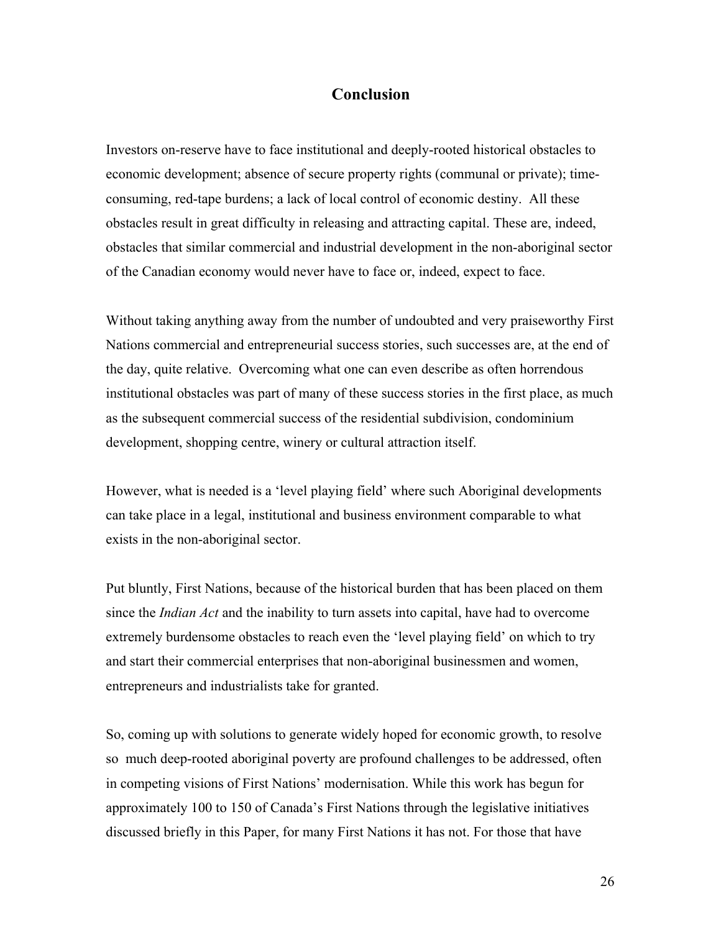# **Conclusion**

Investors on-reserve have to face institutional and deeply-rooted historical obstacles to economic development; absence of secure property rights (communal or private); timeconsuming, red-tape burdens; a lack of local control of economic destiny. All these obstacles result in great difficulty in releasing and attracting capital. These are, indeed, obstacles that similar commercial and industrial development in the non-aboriginal sector of the Canadian economy would never have to face or, indeed, expect to face.

Without taking anything away from the number of undoubted and very praiseworthy First Nations commercial and entrepreneurial success stories, such successes are, at the end of the day, quite relative. Overcoming what one can even describe as often horrendous institutional obstacles was part of many of these success stories in the first place, as much as the subsequent commercial success of the residential subdivision, condominium development, shopping centre, winery or cultural attraction itself.

However, what is needed is a 'level playing field' where such Aboriginal developments can take place in a legal, institutional and business environment comparable to what exists in the non-aboriginal sector.

Put bluntly, First Nations, because of the historical burden that has been placed on them since the *Indian Act* and the inability to turn assets into capital, have had to overcome extremely burdensome obstacles to reach even the 'level playing field' on which to try and start their commercial enterprises that non-aboriginal businessmen and women, entrepreneurs and industrialists take for granted.

So, coming up with solutions to generate widely hoped for economic growth, to resolve so much deep-rooted aboriginal poverty are profound challenges to be addressed, often in competing visions of First Nations' modernisation. While this work has begun for approximately 100 to 150 of Canada's First Nations through the legislative initiatives discussed briefly in this Paper, for many First Nations it has not. For those that have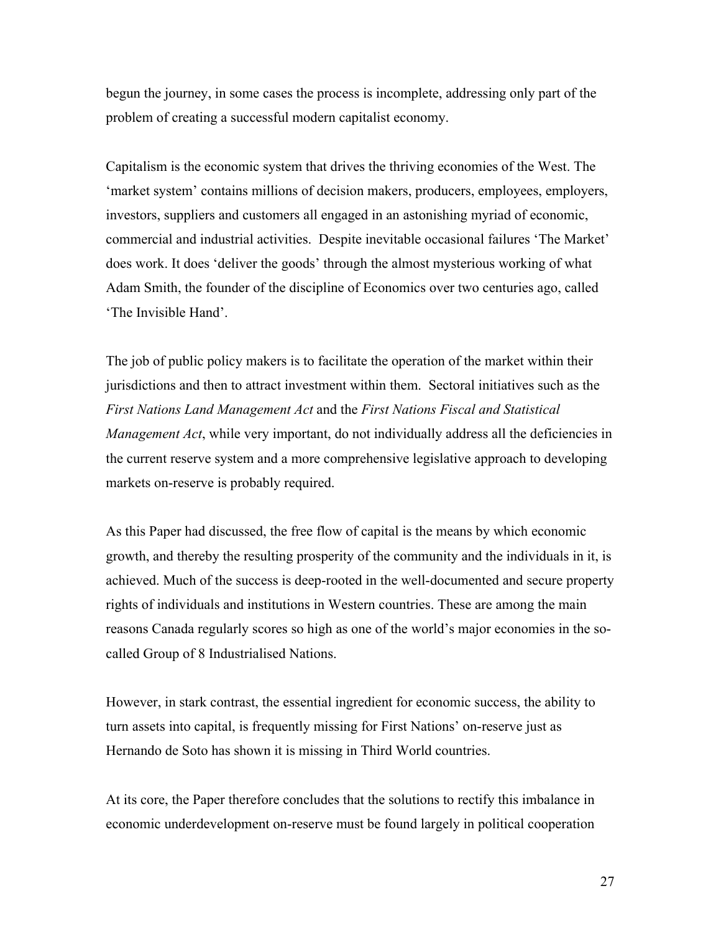begun the journey, in some cases the process is incomplete, addressing only part of the problem of creating a successful modern capitalist economy.

Capitalism is the economic system that drives the thriving economies of the West. The 'market system' contains millions of decision makers, producers, employees, employers, investors, suppliers and customers all engaged in an astonishing myriad of economic, commercial and industrial activities. Despite inevitable occasional failures 'The Market' does work. It does 'deliver the goods' through the almost mysterious working of what Adam Smith, the founder of the discipline of Economics over two centuries ago, called 'The Invisible Hand'.

The job of public policy makers is to facilitate the operation of the market within their jurisdictions and then to attract investment within them. Sectoral initiatives such as the *First Nations Land Management Act* and the *First Nations Fiscal and Statistical Management Act*, while very important, do not individually address all the deficiencies in the current reserve system and a more comprehensive legislative approach to developing markets on-reserve is probably required.

As this Paper had discussed, the free flow of capital is the means by which economic growth, and thereby the resulting prosperity of the community and the individuals in it, is achieved. Much of the success is deep-rooted in the well-documented and secure property rights of individuals and institutions in Western countries. These are among the main reasons Canada regularly scores so high as one of the world's major economies in the socalled Group of 8 Industrialised Nations.

However, in stark contrast, the essential ingredient for economic success, the ability to turn assets into capital, is frequently missing for First Nations' on-reserve just as Hernando de Soto has shown it is missing in Third World countries.

At its core, the Paper therefore concludes that the solutions to rectify this imbalance in economic underdevelopment on-reserve must be found largely in political cooperation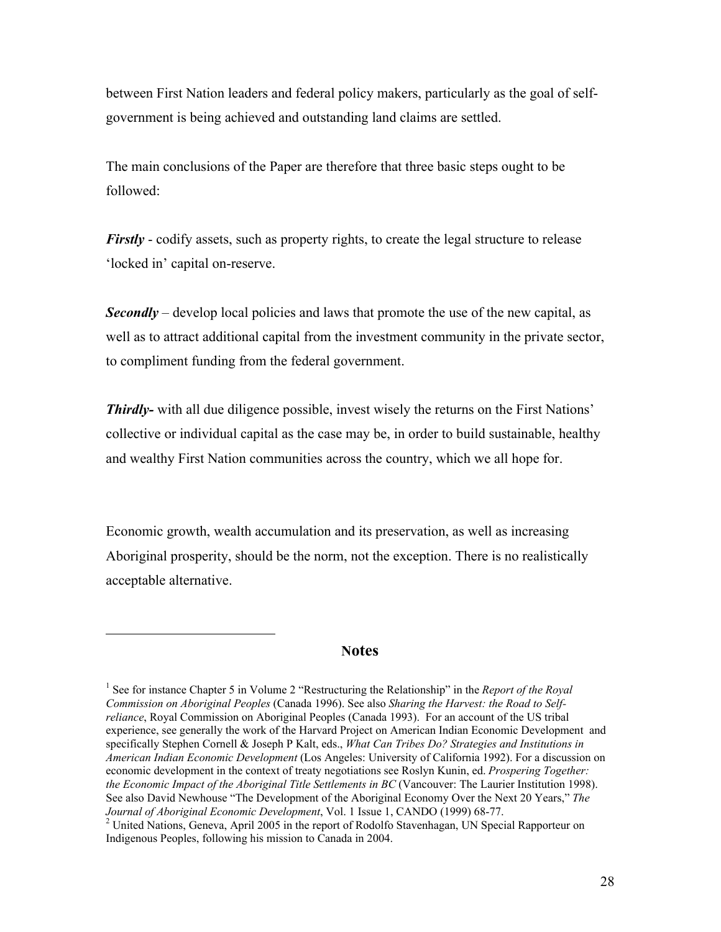between First Nation leaders and federal policy makers, particularly as the goal of selfgovernment is being achieved and outstanding land claims are settled.

The main conclusions of the Paper are therefore that three basic steps ought to be followed:

*Firstly* - codify assets, such as property rights, to create the legal structure to release 'locked in' capital on-reserve.

*Secondly* – develop local policies and laws that promote the use of the new capital, as well as to attract additional capital from the investment community in the private sector, to compliment funding from the federal government.

*Thirdly-* with all due diligence possible, invest wisely the returns on the First Nations' collective or individual capital as the case may be, in order to build sustainable, healthy and wealthy First Nation communities across the country, which we all hope for.

Economic growth, wealth accumulation and its preservation, as well as increasing Aboriginal prosperity, should be the norm, not the exception. There is no realistically acceptable alternative.

#### **Notes**

 $\overline{a}$ 

<sup>&</sup>lt;sup>1</sup> See for instance Chapter 5 in Volume 2 "Restructuring the Relationship" in the *Report of the Royal Commission on Aboriginal Peoples* (Canada 1996). See also *Sharing the Harvest: the Road to Selfreliance*, Royal Commission on Aboriginal Peoples (Canada 1993). For an account of the US tribal experience, see generally the work of the Harvard Project on American Indian Economic Development and specifically Stephen Cornell & Joseph P Kalt, eds., *What Can Tribes Do? Strategies and Institutions in American Indian Economic Development* (Los Angeles: University of California 1992). For a discussion on economic development in the context of treaty negotiations see Roslyn Kunin, ed. *Prospering Together: the Economic Impact of the Aboriginal Title Settlements in BC* (Vancouver: The Laurier Institution 1998). See also David Newhouse "The Development of the Aboriginal Economy Over the Next 20 Years," *The* Journal of Aboriginal Economic Development, Vol. 1 Issue 1, CANDO (1999) 68-77.<br><sup>2</sup> United Nations, Geneva, April 2005 in the report of Rodolfo Stavenhagan, UN Special Rapporteur on

Indigenous Peoples, following his mission to Canada in 2004.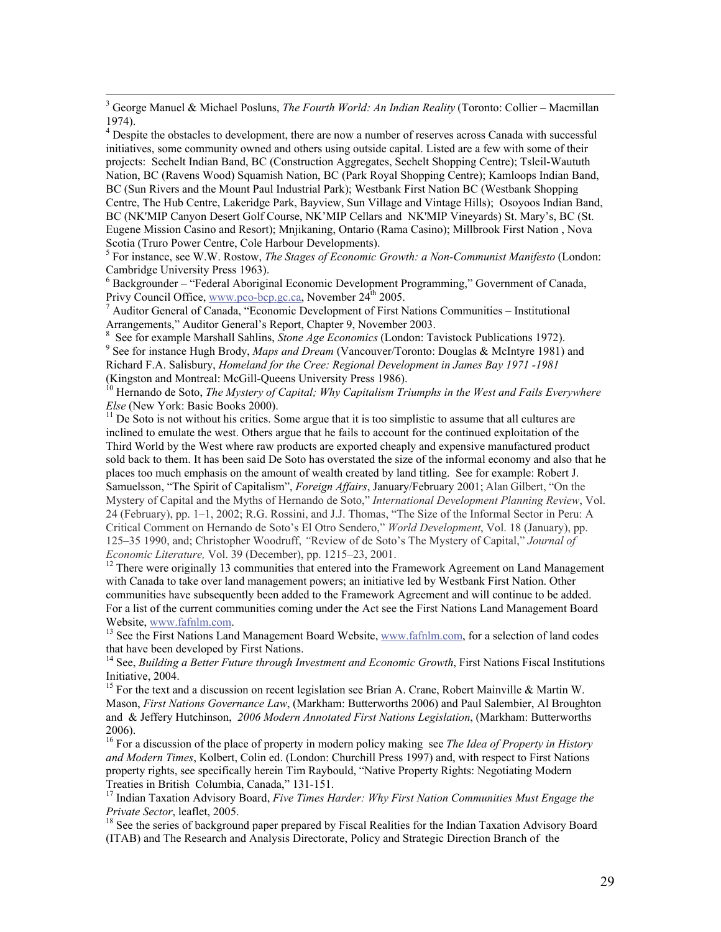3 George Manuel & Michael Posluns, *The Fourth World: An Indian Reality* (Toronto: Collier – Macmillan 1974).

<sup>4</sup> Despite the obstacles to development, there are now a number of reserves across Canada with successful initiatives, some community owned and others using outside capital. Listed are a few with some of their projects: Sechelt Indian Band, BC (Construction Aggregates, Sechelt Shopping Centre); Tsleil-Waututh Nation, BC (Ravens Wood) Squamish Nation, BC (Park Royal Shopping Centre); Kamloops Indian Band, BC (Sun Rivers and the Mount Paul Industrial Park); Westbank First Nation BC (Westbank Shopping Centre, The Hub Centre, Lakeridge Park, Bayview, Sun Village and Vintage Hills); Osoyoos Indian Band, BC (NK'MIP Canyon Desert Golf Course, NK'MIP Cellars and NK'MIP Vineyards) St. Mary's, BC (St. Eugene Mission Casino and Resort); Mnjikaning, Ontario (Rama Casino); Millbrook First Nation , Nova Scotia (Truro Power Centre, Cole Harbour Developments).

5 For instance, see W.W. Rostow, *The Stages of Economic Growth: a Non-Communist Manifesto* (London: Cambridge University Press 1963).

<sup>6</sup> Backgrounder – "Federal Aboriginal Economic Development Programming," Government of Canada, Privy Council Office, www.pco-bcp.gc.ca, November 24<sup>th</sup> 2005.

 Auditor General of Canada, "Economic Development of First Nations Communities – Institutional Arrangements," Auditor General's Report, Chapter 9, November 2003.

8 See for example Marshall Sahlins, *Stone Age Economics* (London: Tavistock Publications 1972). <sup>9</sup> See for instance Hugh Brody, *Maps and Dream* (Vancouver/Toronto: Douglas & McIntyre 1981) and Richard F.A. Salisbury, *Homeland for the Cree: Regional Development in James Bay 1971 -1981* (Kingston and Montreal: McGill-Queens University Press 1986).

<sup>10</sup> Hernando de Soto, *The Mystery of Capital; Why Capitalism Triumphs in the West and Fails Everywhere Else* (New York: Basic Books 2000).

 $11$  De Soto is not without his critics. Some argue that it is too simplistic to assume that all cultures are inclined to emulate the west. Others argue that he fails to account for the continued exploitation of the Third World by the West where raw products are exported cheaply and expensive manufactured product sold back to them. It has been said De Soto has overstated the size of the informal economy and also that he places too much emphasis on the amount of wealth created by land titling. See for example: Robert J. Samuelsson, "The Spirit of Capitalism", *Foreign Affairs*, January/February 2001; Alan Gilbert, "On the Mystery of Capital and the Myths of Hernando de Soto," *International Development Planning Review*, Vol. 24 (February), pp. 1–1, 2002; R.G. Rossini, and J.J. Thomas, "The Size of the Informal Sector in Peru: A Critical Comment on Hernando de Soto's El Otro Sendero," *World Development*, Vol. 18 (January), pp. 125–35 1990, and; Christopher Woodruff, *"*Review of de Soto's The Mystery of Capital," *Journal of Economic Literature, Vol. 39 (December), pp. 1215-23, 2001.* 

<sup>12</sup> There were originally 13 communities that entered into the Framework Agreement on Land Management with Canada to take over land management powers; an initiative led by Westbank First Nation. Other communities have subsequently been added to the Framework Agreement and will continue to be added. For a list of the current communities coming under the Act see the First Nations Land Management Board Website, www.fafnlm.com.

<sup>13</sup> See the First Nations Land Management Board Website, www.fafnlm.com, for a selection of land codes that have been developed by First Nations.

<sup>14</sup> See, *Building a Better Future through Investment and Economic Growth*, First Nations Fiscal Institutions Initiative, 2004.

<sup>15</sup> For the text and a discussion on recent legislation see Brian A. Crane, Robert Mainville & Martin W. Mason, *First Nations Governance Law*, (Markham: Butterworths 2006) and Paul Salembier, Al Broughton and & Jeffery Hutchinson, *2006 Modern Annotated First Nations Legislation*, (Markham: Butterworths 2006).

<sup>16</sup> For a discussion of the place of property in modern policy making see *The Idea of Property in History and Modern Times*, Kolbert, Colin ed. (London: Churchill Press 1997) and, with respect to First Nations property rights, see specifically herein Tim Raybould, "Native Property Rights: Negotiating Modern Treaties in British Columbia, Canada," 131-151.

<sup>17</sup> Indian Taxation Advisory Board, *Five Times Harder: Why First Nation Communities Must Engage the Private Sector*, leaflet, 2005.<br><sup>18</sup> See the series of background paper prepared by Fiscal Realities for the Indian Taxation Advisory Board

(ITAB) and The Research and Analysis Directorate, Policy and Strategic Direction Branch of the